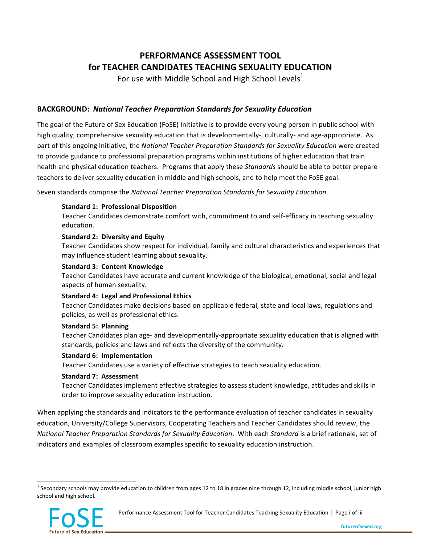# **PERFORMANCE ASSESSMENT TOOL** for TEACHER CANDIDATES TEACHING SEXUALITY EDUCATION

For use with Middle School and High School Levels<sup>1</sup>

### BACKGROUND: National Teacher Preparation Standards for Sexuality Education

The goal of the Future of Sex Education (FoSE) Initiative is to provide every young person in public school with high quality, comprehensive sexuality education that is developmentally-, culturally- and age-appropriate. As part of this ongoing Initiative, the *National Teacher Preparation Standards for Sexuality Education* were created to provide guidance to professional preparation programs within institutions of higher education that train health and physical education teachers. Programs that apply these Standards should be able to better prepare teachers to deliver sexuality education in middle and high schools, and to help meet the FoSE goal.

Seven standards comprise the *National Teacher Preparation Standards for Sexuality Education*.

#### **Standard 1: Professional Disposition**

Teacher Candidates demonstrate comfort with, commitment to and self-efficacy in teaching sexuality education.

#### **Standard 2: Diversity and Equity**

Teacher Candidates show respect for individual, family and cultural characteristics and experiences that may influence student learning about sexuality.

#### **Standard 3: Content Knowledge**

Teacher Candidates have accurate and current knowledge of the biological, emotional, social and legal aspects of human sexuality.

### **Standard 4: Legal and Professional Ethics**

Teacher Candidates make decisions based on applicable federal, state and local laws, regulations and policies, as well as professional ethics.

#### **Standard 5: Planning**

Teacher Candidates plan age- and developmentally-appropriate sexuality education that is aligned with standards, policies and laws and reflects the diversity of the community.

#### **Standard 6: Implementation**

Teacher Candidates use a variety of effective strategies to teach sexuality education.

#### Standard 7: Assessment

Teacher Candidates implement effective strategies to assess student knowledge, attitudes and skills in order to improve sexuality education instruction.

When applying the standards and indicators to the performance evaluation of teacher candidates in sexuality education, University/College Supervisors, Cooperating Teachers and Teacher Candidates should review, the *National Teacher Preparation Standards for Sexuality Education. With each Standard is a brief rationale, set of* indicators and examples of classroom examples specific to sexuality education instruction.

 $1$  Secondary schools may provide education to children from ages 12 to 18 in grades nine through 12, including middle school, junior high school and high school.

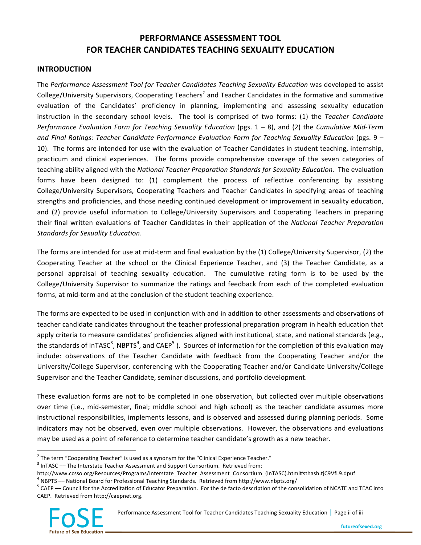# **PERFORMANCE ASSESSMENT TOOL FOR\*TEACHER\*CANDIDATES\*TEACHING\*SEXUALITY\*EDUCATION**

### **INTRODUCTION**

The Performance Assessment Tool for Teacher Candidates Teaching Sexuality Education was developed to assist College/University Supervisors, Cooperating Teachers<sup>2</sup> and Teacher Candidates in the formative and summative evaluation of the Candidates' proficiency in planning, implementing and assessing sexuality education instruction in the secondary school levels. The tool is comprised of two forms: (1) the *Teacher Candidate Performance Evaluation Form for Teaching Sexuality Education (pgs. 1 – 8), and (2) the <i>Cumulative Mid-Term* and Final Ratings: Teacher Candidate Performance Evaluation Form for Teaching Sexuality Education (pgs. 9 – 10). The forms are intended for use with the evaluation of Teacher Candidates in student teaching, internship, practicum and clinical experiences. The forms provide comprehensive coverage of the seven categories of teaching ability aligned with the *National Teacher Preparation Standards for Sexuality Education*. The evaluation forms have been designed to: (1) complement the process of reflective conferencing by assisting College/University Supervisors, Cooperating Teachers and Teacher Candidates in specifying areas of teaching strengths and proficiencies, and those needing continued development or improvement in sexuality education, and (2) provide useful information to College/University Supervisors and Cooperating Teachers in preparing their final written evaluations of Teacher Candidates in their application of the *National Teacher Preparation* **Standards for Sexuality Education.** 

The forms are intended for use at mid-term and final evaluation by the (1) College/University Supervisor, (2) the Cooperating Teacher at the school or the Clinical Experience Teacher, and (3) the Teacher Candidate, as a personal appraisal of teaching sexuality education. The cumulative rating form is to be used by the College/University Supervisor to summarize the ratings and feedback from each of the completed evaluation forms, at mid-term and at the conclusion of the student teaching experience.

The forms are expected to be used in conjunction with and in addition to other assessments and observations of teacher candidate candidates throughout the teacher professional preparation program in health education that apply criteria to measure candidates' proficiencies aligned with institutional, state, and national standards (e.g., the standards of InTASC<sup>3</sup>, NBPTS<sup>4</sup>, and CAEP<sup>5</sup>). Sources of information for the completion of this evaluation may include: observations of the Teacher Candidate with feedback from the Cooperating Teacher and/or the University/College Supervisor, conferencing with the Cooperating Teacher and/or Candidate University/College Supervisor and the Teacher Candidate, seminar discussions, and portfolio development.

These evaluation forms are not to be completed in one observation, but collected over multiple observations over time (i.e., mid-semester, final; middle school and high school) as the teacher candidate assumes more instructional responsibilities, implements lessons, and is observed and assessed during planning periods. Some indicators may not be observed, even over multiple observations. However, the observations and evaluations may be used as a point of reference to determine teacher candidate's growth as a new teacher.

 $^4$  NBPTS — National Board for Professional Teaching Standards. Retrieved from http://www.nbpts.org/<br><sup>5</sup> CAEP — Council for the Accreditation of Educator Preparation. For the de facto description of the consolidation of CAEP. Retrieved from http://caepnet.org.



Performance Assessment Tool for Teacher Candidates Teaching Sexuality Education | Page ii of iii

 $2$  The term "Cooperating Teacher" is used as a synonym for the "Clinical Experience Teacher."

 $3$  InTASC –– The Interstate Teacher Assessment and Support Consortium. Retrieved from:

http://www.ccsso.org/Resources/Programs/Interstate Teacher Assessment Consortium (InTASC).html#sthash.tjC9VfL9.dpuf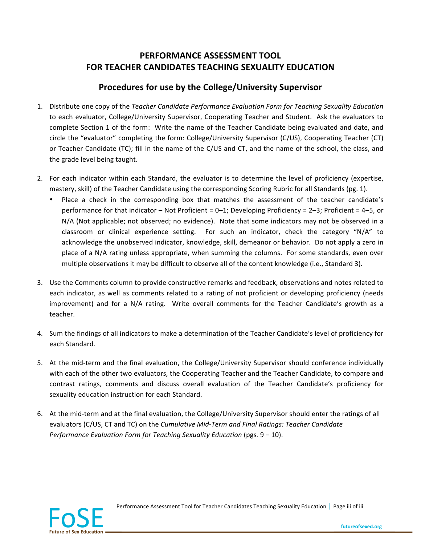## **PERFORMANCE ASSESSMENT TOOL FOR\*TEACHER\*CANDIDATES\*TEACHING\*SEXUALITY\*EDUCATION**

## Procedures for use by the College/University Supervisor

- 1. Distribute one copy of the *Teacher Candidate Performance Evaluation Form for Teaching Sexuality Education* to each evaluator, College/University Supervisor, Cooperating Teacher and Student. Ask the evaluators to complete Section 1 of the form: Write the name of the Teacher Candidate being evaluated and date, and circle the "evaluator" completing the form: College/University Supervisor (C/US), Cooperating Teacher (CT) or Teacher Candidate (TC); fill in the name of the C/US and CT, and the name of the school, the class, and the grade level being taught.
- 2. For each indicator within each Standard, the evaluator is to determine the level of proficiency (expertise, mastery, skill) of the Teacher Candidate using the corresponding Scoring Rubric for all Standards (pg. 1).
	- Place a check in the corresponding box that matches the assessment of the teacher candidate's performance for that indicator – Not Proficient =  $0-1$ ; Developing Proficiency =  $2-3$ ; Proficient =  $4-5$ , or N/A (Not applicable; not observed; no evidence). Note that some indicators may not be observed in a classroom or clinical experience setting. For such an indicator, check the category "N/A" to acknowledge the unobserved indicator, knowledge, skill, demeanor or behavior. Do not apply a zero in place of a N/A rating unless appropriate, when summing the columns. For some standards, even over multiple observations it may be difficult to observe all of the content knowledge (i.e., Standard 3).
- 3. Use the Comments column to provide constructive remarks and feedback, observations and notes related to each indicator, as well as comments related to a rating of not proficient or developing proficiency (needs improvement) and for a N/A rating. Write overall comments for the Teacher Candidate's growth as a teacher.
- 4. Sum the findings of all indicators to make a determination of the Teacher Candidate's level of proficiency for each Standard.
- 5. At the mid-term and the final evaluation, the College/University Supervisor should conference individually with each of the other two evaluators, the Cooperating Teacher and the Teacher Candidate, to compare and contrast ratings, comments and discuss overall evaluation of the Teacher Candidate's proficiency for sexuality education instruction for each Standard.
- 6. At the mid-term and at the final evaluation, the College/University Supervisor should enter the ratings of all evaluators (C/US, CT and TC) on the *Cumulative Mid-Term and Final Ratings: Teacher Candidate Performance Evaluation Form for Teaching Sexuality Education (pgs.* 9 – 10).



Performance Assessment Tool for Teacher Candidates Teaching Sexuality Education | Page iii of iii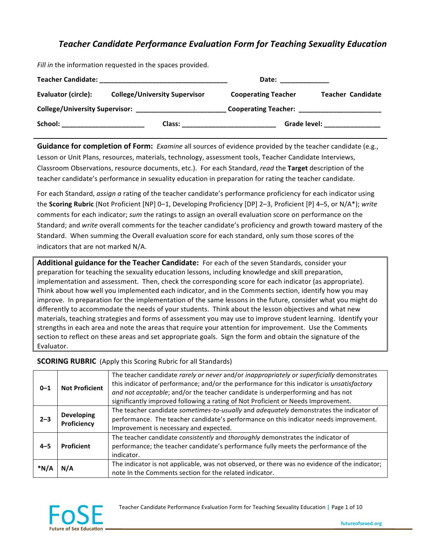## **Teacher Candidate Performance Evaluation Form for Teaching Sexuality Education**

*Fill in* the information requested in the spaces provided.

| <b>Teacher Candidate:</b>             |                                      | Date:                      |                          |
|---------------------------------------|--------------------------------------|----------------------------|--------------------------|
| <b>Evaluator (circle):</b>            | <b>College/University Supervisor</b> | <b>Cooperating Teacher</b> | <b>Teacher Candidate</b> |
| <b>College/University Supervisor:</b> |                                      |                            |                          |
| School:                               | Class:                               | Grade level:               |                          |

**Guidance for completion of Form:** *Examine* all sources of evidence provided by the teacher candidate (e.g., Lesson or Unit Plans, resources, materials, technology, assessment tools, Teacher Candidate Interviews, Classroom Observations, resource documents, etc.). For each Standard, *read* the Target description of the teacher candidate's performance in sexuality education in preparation for rating the teacher candidate.

For each Standard, *assign a rating of the teacher candidate's performance proficiency for each indicator using* the **Scoring Rubric** (Not Proficient [NP] 0–1, Developing Proficiency [DP] 2–3, Proficient [P] 4–5, or N/A\*); *write* comments for each indicator; *sum* the ratings to assign an overall evaluation score on performance on the Standard; and *write* overall comments for the teacher candidate's proficiency and growth toward mastery of the Standard. When summing the Overall evaluation score for each standard, only sum those scores of the indicators that are not marked N/A.

Additional guidance for the Teacher Candidate: For each of the seven Standards, consider your preparation for teaching the sexuality education lessons, including knowledge and skill preparation, implementation and assessment. Then, check the corresponding score for each indicator (as appropriate). Think about how well you implemented each indicator, and in the Comments section, identify how you may improve. In preparation for the implementation of the same lessons in the future, consider what you might do differently to accommodate the needs of your students. Think about the lesson objectives and what new materials, teaching strategies and forms of assessment you may use to improve student learning. Identify your strengths in each area and note the areas that require your attention for improvement. Use the Comments section to reflect on these areas and set appropriate goals. Sign the form and obtain the signature of the Evaluator.

### **SCORING RUBRIC** (Apply this Scoring Rubric for all Standards)

| $0 - 1$ | <b>Not Proficient</b>            | The teacher candidate rarely or never and/or inappropriately or superficially demonstrates<br>this indicator of performance; and/or the performance for this indicator is unsatisfactory<br>and not acceptable; and/or the teacher candidate is underperforming and has not<br>significantly improved following a rating of Not Proficient or Needs Improvement. |
|---------|----------------------------------|------------------------------------------------------------------------------------------------------------------------------------------------------------------------------------------------------------------------------------------------------------------------------------------------------------------------------------------------------------------|
| $2 - 3$ | <b>Developing</b><br>Proficiency | The teacher candidate sometimes-to-usually and adequately demonstrates the indicator of<br>performance. The teacher candidate's performance on this indicator needs improvement.<br>Improvement is necessary and expected.                                                                                                                                       |
| $4 - 5$ | Proficient                       | The teacher candidate consistently and thoroughly demonstrates the indicator of<br>performance; the teacher candidate's performance fully meets the performance of the<br>indicator.                                                                                                                                                                             |
| *N/A    | N/A                              | The indicator is not applicable, was not observed, or there was no evidence of the indicator;<br>note In the Comments section for the related indicator.                                                                                                                                                                                                         |



Teacher Candidate Performance Evaluation Form for Teaching Sexuality Education | Page 1 of 10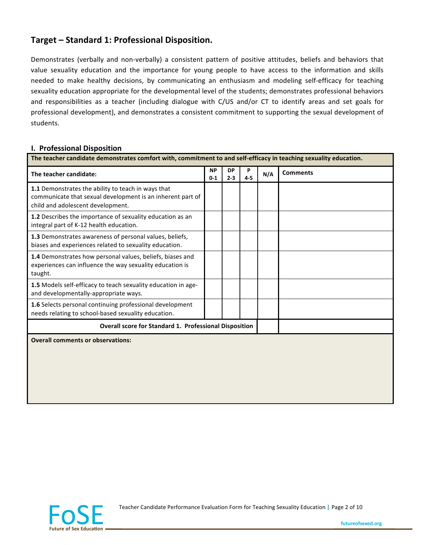## Target – Standard 1: Professional Disposition.

Demonstrates (verbally and non-verbally) a consistent pattern of positive attitudes, beliefs and behaviors that value sexuality education and the importance for young people to have access to the information and skills needed to make healthy decisions, by communicating an enthusiasm and modeling self-efficacy for teaching sexuality education appropriate for the developmental level of the students; demonstrates professional behaviors and responsibilities as a teacher (including dialogue with C/US and/or CT to identify areas and set goals for professional development), and demonstrates a consistent commitment to supporting the sexual development of students.

### **I. Professional Disposition**

| The teacher candidate:                                                                                                                                | <b>NP</b> | <b>DP</b> | P     | N/A | <b>Comments</b> |  |  |
|-------------------------------------------------------------------------------------------------------------------------------------------------------|-----------|-----------|-------|-----|-----------------|--|--|
|                                                                                                                                                       | $0 - 1$   | $2 - 3$   | $4-5$ |     |                 |  |  |
| 1.1 Demonstrates the ability to teach in ways that<br>communicate that sexual development is an inherent part of<br>child and adolescent development. |           |           |       |     |                 |  |  |
| 1.2 Describes the importance of sexuality education as an<br>integral part of K-12 health education.                                                  |           |           |       |     |                 |  |  |
| 1.3 Demonstrates awareness of personal values, beliefs,<br>biases and experiences related to sexuality education.                                     |           |           |       |     |                 |  |  |
| 1.4 Demonstrates how personal values, beliefs, biases and<br>experiences can influence the way sexuality education is<br>taught.                      |           |           |       |     |                 |  |  |
| 1.5 Models self-efficacy to teach sexuality education in age-<br>and developmentally-appropriate ways.                                                |           |           |       |     |                 |  |  |
| 1.6 Selects personal continuing professional development<br>needs relating to school-based sexuality education.                                       |           |           |       |     |                 |  |  |
| <b>Overall score for Standard 1. Professional Disposition</b>                                                                                         |           |           |       |     |                 |  |  |
| <b>Overall comments or observations:</b>                                                                                                              |           |           |       |     |                 |  |  |
|                                                                                                                                                       |           |           |       |     |                 |  |  |
|                                                                                                                                                       |           |           |       |     |                 |  |  |
|                                                                                                                                                       |           |           |       |     |                 |  |  |
|                                                                                                                                                       |           |           |       |     |                 |  |  |
|                                                                                                                                                       |           |           |       |     |                 |  |  |



Teacher Candidate Performance Evaluation Form for Teaching Sexuality Education | Page 2 of 10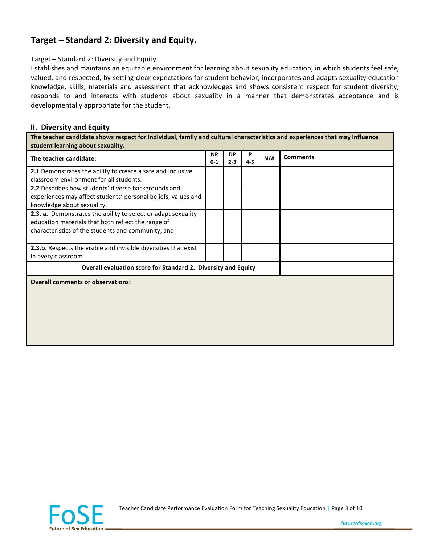## Target – Standard 2: Diversity and Equity.

Target - Standard 2: Diversity and Equity.

Establishes and maintains an equitable environment for learning about sexuality education, in which students feel safe, valued, and respected, by setting clear expectations for student behavior; incorporates and adapts sexuality education knowledge, skills, materials and assessment that acknowledges and shows consistent respect for student diversity; responds to and interacts with students about sexuality in a manner that demonstrates acceptance and is developmentally appropriate for the student.

#### **II. Diversity and Equity**

The teacher candidate shows respect for individual, family and cultural characteristics and experiences that may influence student learning about sexuality.

| The teacher candidate:                                           | <b>NP</b><br>$0 - 1$ | <b>DP</b><br>$2 - 3$ | P<br>$4 - 5$ | N/A | <b>Comments</b> |
|------------------------------------------------------------------|----------------------|----------------------|--------------|-----|-----------------|
| 2.1 Demonstrates the ability to create a safe and inclusive      |                      |                      |              |     |                 |
| classroom environment for all students.                          |                      |                      |              |     |                 |
| 2.2 Describes how students' diverse backgrounds and              |                      |                      |              |     |                 |
| experiences may affect students' personal beliefs, values and    |                      |                      |              |     |                 |
| knowledge about sexuality.                                       |                      |                      |              |     |                 |
| 2.3. a. Demonstrates the ability to select or adapt sexuality    |                      |                      |              |     |                 |
| education materials that both reflect the range of               |                      |                      |              |     |                 |
| characteristics of the students and community, and               |                      |                      |              |     |                 |
| 2.3.b. Respects the visible and invisible diversities that exist |                      |                      |              |     |                 |
| in every classroom.                                              |                      |                      |              |     |                 |
| Overall evaluation score for Standard 2. Diversity and Equity    |                      |                      |              |     |                 |
| <b>Overall comments or observations:</b>                         |                      |                      |              |     |                 |
|                                                                  |                      |                      |              |     |                 |
|                                                                  |                      |                      |              |     |                 |
|                                                                  |                      |                      |              |     |                 |
|                                                                  |                      |                      |              |     |                 |
|                                                                  |                      |                      |              |     |                 |
|                                                                  |                      |                      |              |     |                 |



Teacher Candidate Performance Evaluation Form for Teaching Sexuality Education | Page 3 of 10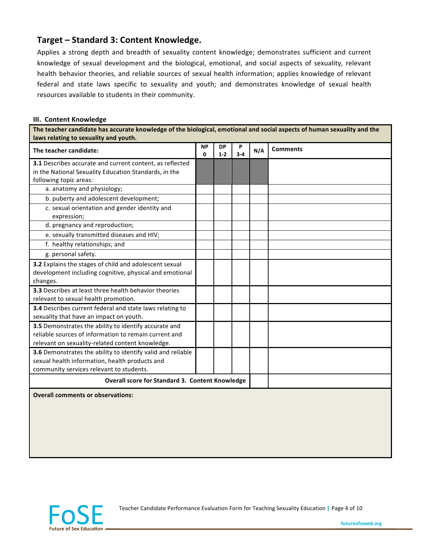### **Target – Standard 3: Content Knowledge.**

Applies a strong depth and breadth of sexuality content knowledge; demonstrates sufficient and current knowledge of sexual development and the biological, emotional, and social aspects of sexuality, relevant health behavior theories, and reliable sources of sexual health information; applies knowledge of relevant federal and state laws specific to sexuality and youth; and demonstrates knowledge of sexual health resources available to students in their community.

#### **III. Content Knowledge**

The teacher candidate has accurate knowledge of the biological, emotional and social aspects of human sexuality and the laws relating to sexuality and youth.

| The teacher candidate:                                      | <b>NP</b><br>$\Omega$ | <b>DP</b><br>$1 - 2$ | P<br>$3 - 4$ | N/A | <b>Comments</b> |
|-------------------------------------------------------------|-----------------------|----------------------|--------------|-----|-----------------|
| 3.1 Describes accurate and current content, as reflected    |                       |                      |              |     |                 |
| in the National Sexuality Education Standards, in the       |                       |                      |              |     |                 |
| following topic areas:                                      |                       |                      |              |     |                 |
| a. anatomy and physiology;                                  |                       |                      |              |     |                 |
| b. puberty and adolescent development;                      |                       |                      |              |     |                 |
| c. sexual orientation and gender identity and               |                       |                      |              |     |                 |
| expression;                                                 |                       |                      |              |     |                 |
| d. pregnancy and reproduction;                              |                       |                      |              |     |                 |
| e. sexually transmitted diseases and HIV;                   |                       |                      |              |     |                 |
| f. healthy relationships; and                               |                       |                      |              |     |                 |
| g. personal safety.                                         |                       |                      |              |     |                 |
| 3.2 Explains the stages of child and adolescent sexual      |                       |                      |              |     |                 |
| development including cognitive, physical and emotional     |                       |                      |              |     |                 |
| changes.                                                    |                       |                      |              |     |                 |
| 3.3 Describes at least three health behavior theories       |                       |                      |              |     |                 |
| relevant to sexual health promotion.                        |                       |                      |              |     |                 |
| 3.4 Describes current federal and state laws relating to    |                       |                      |              |     |                 |
| sexuality that have an impact on youth.                     |                       |                      |              |     |                 |
| 3.5 Demonstrates the ability to identify accurate and       |                       |                      |              |     |                 |
| reliable sources of information to remain current and       |                       |                      |              |     |                 |
| relevant on sexuality-related content knowledge.            |                       |                      |              |     |                 |
| 3.6 Demonstrates the ability to identify valid and reliable |                       |                      |              |     |                 |
| sexual health information, health products and              |                       |                      |              |     |                 |
| community services relevant to students.                    |                       |                      |              |     |                 |
| Overall score for Standard 3. Content Knowledge             |                       |                      |              |     |                 |
| <b>Overall comments or observations:</b>                    |                       |                      |              |     |                 |
|                                                             |                       |                      |              |     |                 |



Teacher Candidate Performance Evaluation Form for Teaching Sexuality Education | Page 4 of 10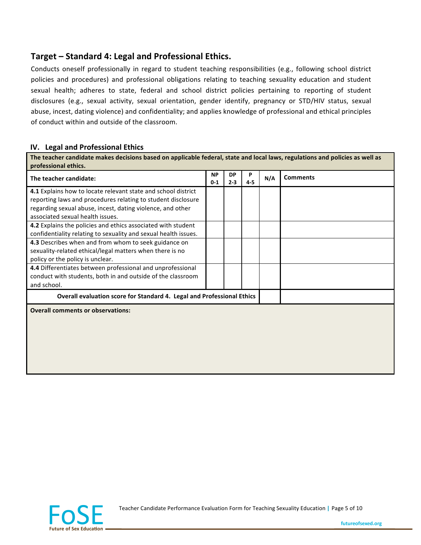## **Target – Standard 4: Legal and Professional Ethics.**

Conducts oneself professionally in regard to student teaching responsibilities (e.g., following school district policies and procedures) and professional obligations relating to teaching sexuality education and student sexual health; adheres to state, federal and school district policies pertaining to reporting of student disclosures (e.g., sexual activity, sexual orientation, gender identify, pregnancy or STD/HIV status, sexual abuse, incest, dating violence) and confidentiality; and applies knowledge of professional and ethical principles of conduct within and outside of the classroom.

### **IV.** Legal and Professional Ethics

The teacher candidate makes decisions based on applicable federal, state and local laws, regulations and policies as well as **professional ethics.** 

| The teacher candidate:                                                 | <b>NP</b><br>$0-1$ | DP<br>$2 - 3$ | P<br>$4 - 5$ | N/A | <b>Comments</b> |
|------------------------------------------------------------------------|--------------------|---------------|--------------|-----|-----------------|
| 4.1 Explains how to locate relevant state and school district          |                    |               |              |     |                 |
| reporting laws and procedures relating to student disclosure           |                    |               |              |     |                 |
| regarding sexual abuse, incest, dating violence, and other             |                    |               |              |     |                 |
| associated sexual health issues.                                       |                    |               |              |     |                 |
| 4.2 Explains the policies and ethics associated with student           |                    |               |              |     |                 |
| confidentiality relating to sexuality and sexual health issues.        |                    |               |              |     |                 |
| 4.3 Describes when and from whom to seek guidance on                   |                    |               |              |     |                 |
| sexuality-related ethical/legal matters when there is no               |                    |               |              |     |                 |
| policy or the policy is unclear.                                       |                    |               |              |     |                 |
| 4.4 Differentiates between professional and unprofessional             |                    |               |              |     |                 |
| conduct with students, both in and outside of the classroom            |                    |               |              |     |                 |
| and school.                                                            |                    |               |              |     |                 |
| Overall evaluation score for Standard 4. Legal and Professional Ethics |                    |               |              |     |                 |
| <b>Overall comments or observations:</b>                               |                    |               |              |     |                 |
|                                                                        |                    |               |              |     |                 |
|                                                                        |                    |               |              |     |                 |
|                                                                        |                    |               |              |     |                 |
|                                                                        |                    |               |              |     |                 |
|                                                                        |                    |               |              |     |                 |
|                                                                        |                    |               |              |     |                 |



Teacher Candidate Performance Evaluation Form for Teaching Sexuality Education | Page 5 of 10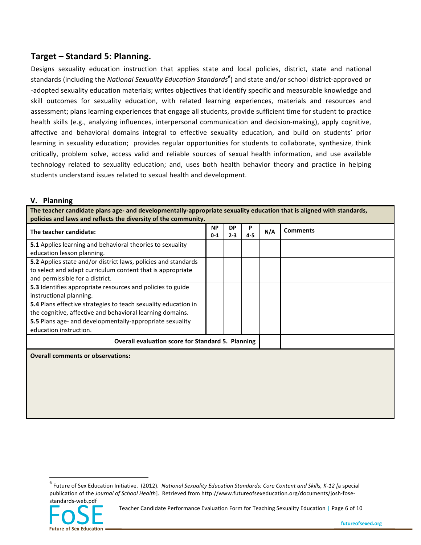## **Target – Standard 5: Planning.**

Designs sexuality education instruction that applies state and local policies, district, state and national standards (including the *National Sexuality Education Standards<sup>6</sup>*) and state and/or school district-approved or -adopted sexuality education materials; writes objectives that identify specific and measurable knowledge and skill outcomes for sexuality education, with related learning experiences, materials and resources and assessment; plans learning experiences that engage all students, provide sufficient time for student to practice health skills (e.g., analyzing influences, interpersonal communication and decision-making), apply cognitive, affective and behavioral domains integral to effective sexuality education, and build on students' prior learning in sexuality education; provides regular opportunities for students to collaborate, synthesize, think critically, problem solve, access valid and reliable sources of sexual health information, and use available technology related to sexuality education; and, uses both health behavior theory and practice in helping students understand issues related to sexual health and development.

### **V.** Planning

The teacher candidate plans age- and developmentally-appropriate sexuality education that is aligned with standards, **policies\*and\*laws\*and\*reflects\*the\*diversity\*of\*the\*community.**

| poncies and laws and renects the aiversity or the community.     |                      |                      |     |     |                 |  |  |  |
|------------------------------------------------------------------|----------------------|----------------------|-----|-----|-----------------|--|--|--|
| The teacher candidate:                                           | <b>NP</b><br>$0 - 1$ | <b>DP</b><br>$2 - 3$ | 4-5 | N/A | <b>Comments</b> |  |  |  |
| <b>5.1</b> Applies learning and behavioral theories to sexuality |                      |                      |     |     |                 |  |  |  |
| education lesson planning.                                       |                      |                      |     |     |                 |  |  |  |
| 5.2 Applies state and/or district laws, policies and standards   |                      |                      |     |     |                 |  |  |  |
| to select and adapt curriculum content that is appropriate       |                      |                      |     |     |                 |  |  |  |
| and permissible for a district.                                  |                      |                      |     |     |                 |  |  |  |
| 5.3 Identifies appropriate resources and policies to guide       |                      |                      |     |     |                 |  |  |  |
| instructional planning.                                          |                      |                      |     |     |                 |  |  |  |
| 5.4 Plans effective strategies to teach sexuality education in   |                      |                      |     |     |                 |  |  |  |
| the cognitive, affective and behavioral learning domains.        |                      |                      |     |     |                 |  |  |  |
| 5.5 Plans age- and developmentally-appropriate sexuality         |                      |                      |     |     |                 |  |  |  |
| education instruction.                                           |                      |                      |     |     |                 |  |  |  |
| <b>Overall evaluation score for Standard 5. Planning</b>         |                      |                      |     |     |                 |  |  |  |
| <b>Overall comments or observations:</b>                         |                      |                      |     |     |                 |  |  |  |

<sup>&</sup>lt;sup>6</sup> Future of Sex Education Initiative. (2012). National Sexuality Education Standards: Core Content and Skills, K-12 [a special publication of the *Journal of School Health*]. Retrieved from http://www.futureofsexeducation.org/documents/josh-fosestandards-web.pdf



!!!!!!!!!!!!!!!!!!!!!!!!!!!!!!!!!!!!!!!!!!!!!!!!!!!!!!!!!!!!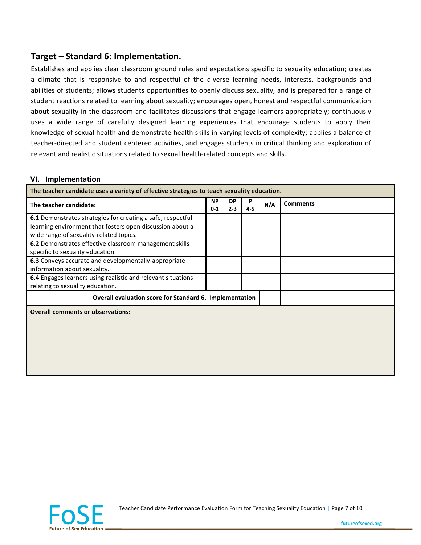## **Target – Standard 6: Implementation.**

Establishes and applies clear classroom ground rules and expectations specific to sexuality education; creates a climate that is responsive to and respectful of the diverse learning needs, interests, backgrounds and abilities of students; allows students opportunities to openly discuss sexuality, and is prepared for a range of student reactions related to learning about sexuality; encourages open, honest and respectful communication about sexuality in the classroom and facilitates discussions that engage learners appropriately; continuously uses a wide range of carefully designed learning experiences that encourage students to apply their knowledge of sexual health and demonstrate health skills in varying levels of complexity; applies a balance of teacher-directed and student centered activities, and engages students in critical thinking and exploration of relevant and realistic situations related to sexual health-related concepts and skills.

### **VI.** Implementation

| The teacher candidate uses a variety of effective strategies to teach sexuality education.           |                      |                      |              |     |                 |  |
|------------------------------------------------------------------------------------------------------|----------------------|----------------------|--------------|-----|-----------------|--|
| The teacher candidate:                                                                               | <b>NP</b><br>$0 - 1$ | <b>DP</b><br>$2 - 3$ | P<br>$4 - 5$ | N/A | <b>Comments</b> |  |
| 6.1 Demonstrates strategies for creating a safe, respectful                                          |                      |                      |              |     |                 |  |
| learning environment that fosters open discussion about a<br>wide range of sexuality-related topics. |                      |                      |              |     |                 |  |
| 6.2 Demonstrates effective classroom management skills<br>specific to sexuality education.           |                      |                      |              |     |                 |  |
| 6.3 Conveys accurate and developmentally-appropriate<br>information about sexuality.                 |                      |                      |              |     |                 |  |
| 6.4 Engages learners using realistic and relevant situations<br>relating to sexuality education.     |                      |                      |              |     |                 |  |
| Overall evaluation score for Standard 6. Implementation                                              |                      |                      |              |     |                 |  |
| <b>Overall comments or observations:</b>                                                             |                      |                      |              |     |                 |  |
|                                                                                                      |                      |                      |              |     |                 |  |
|                                                                                                      |                      |                      |              |     |                 |  |
|                                                                                                      |                      |                      |              |     |                 |  |
|                                                                                                      |                      |                      |              |     |                 |  |
|                                                                                                      |                      |                      |              |     |                 |  |



Teacher Candidate Performance Evaluation Form for Teaching Sexuality Education | Page 7 of 10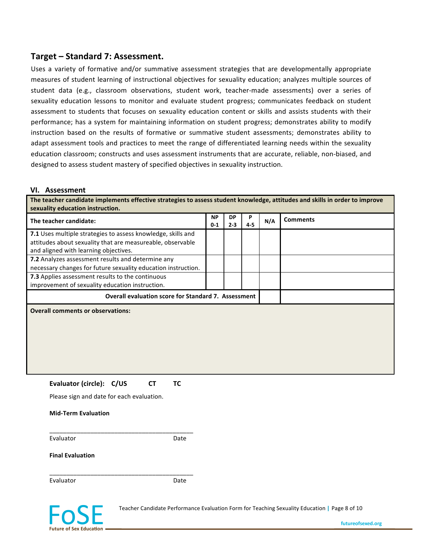### **Target – Standard 7: Assessment.**

Uses a variety of formative and/or summative assessment strategies that are developmentally appropriate measures of student learning of instructional objectives for sexuality education; analyzes multiple sources of student data (e.g., classroom observations, student work, teacher-made assessments) over a series of sexuality education lessons to monitor and evaluate student progress; communicates feedback on student assessment to students that focuses on sexuality education content or skills and assists students with their performance; has a system for maintaining information on student progress; demonstrates ability to modify instruction based on the results of formative or summative student assessments; demonstrates ability to adapt assessment tools and practices to meet the range of differentiated learning needs within the sexuality education classroom; constructs and uses assessment instruments that are accurate, reliable, non-biased, and designed to assess student mastery of specified objectives in sexuality instruction.

#### **VI.** Assessment

The teacher candidate implements effective strategies to assess student knowledge, attitudes and skills in order to improve sexuality education instruction.

| The teacher candidate:                                                                     | <b>NP</b><br>$0-1$ | <b>DP</b><br>$2 - 3$ | P<br>$4 - 5$ | N/A | <b>Comments</b> |
|--------------------------------------------------------------------------------------------|--------------------|----------------------|--------------|-----|-----------------|
| 7.1 Uses multiple strategies to assess knowledge, skills and                               |                    |                      |              |     |                 |
| attitudes about sexuality that are measureable, observable                                 |                    |                      |              |     |                 |
| and aligned with learning objectives.<br>7.2 Analyzes assessment results and determine any |                    |                      |              |     |                 |
| necessary changes for future sexuality education instruction.                              |                    |                      |              |     |                 |
| 7.3 Applies assessment results to the continuous                                           |                    |                      |              |     |                 |
| improvement of sexuality education instruction.                                            |                    |                      |              |     |                 |
| <b>Overall evaluation score for Standard 7. Assessment</b>                                 |                    |                      |              |     |                 |
| <b>Overall comments or observations:</b>                                                   |                    |                      |              |     |                 |
|                                                                                            |                    |                      |              |     |                 |
|                                                                                            |                    |                      |              |     |                 |
|                                                                                            |                    |                      |              |     |                 |
|                                                                                            |                    |                      |              |     |                 |
|                                                                                            |                    |                      |              |     |                 |
|                                                                                            |                    |                      |              |     |                 |
| Evaluator (circle): C/US<br><b>TC</b><br><b>CT</b>                                         |                    |                      |              |     |                 |
| Please sign and date for each evaluation.                                                  |                    |                      |              |     |                 |
| <b>Mid-Term Evaluation</b>                                                                 |                    |                      |              |     |                 |
|                                                                                            |                    |                      |              |     |                 |
| Evaluator<br>Date                                                                          |                    |                      |              |     |                 |
| <b>Final Evaluation</b>                                                                    |                    |                      |              |     |                 |
| Evaluator<br>Date                                                                          |                    |                      |              |     |                 |



Teacher Candidate Performance Evaluation Form for Teaching Sexuality Education | Page 8 of 10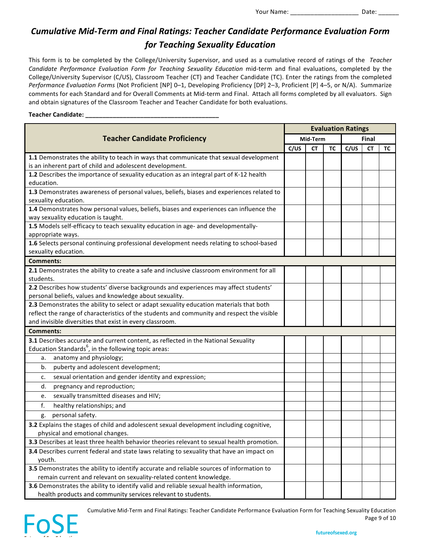# *Cumulative Mid-Term and Final Ratings: Teacher Candidate Performance Evaluation Form* **for Teaching Sexuality Education**

This form is to be completed by the College/University Supervisor, and used as a cumulative record of ratings of the *Teacher Candidate Performance Evaluation Form for Teaching Sexuality Education mid-term and final evaluations, completed by the* College/University Supervisor (C/US), Classroom Teacher (CT) and Teacher Candidate (TC). Enter the ratings from the completed *Performance Evaluation Forms* (Not Proficient [NP] 0–1, Developing Proficiency [DP] 2–3, Proficient [P] 4–5, or N/A). Summarize comments for each Standard and for Overall Comments at Mid-term and Final. Attach all forms completed by all evaluators. Sign and obtain signatures of the Classroom Teacher and Teacher Candidate for both evaluations.

#### Teacher Candidate: \_\_\_

|                                                                                                                                                        | <b>Evaluation Ratings</b> |           |       |      |           |    |  |  |
|--------------------------------------------------------------------------------------------------------------------------------------------------------|---------------------------|-----------|-------|------|-----------|----|--|--|
| <b>Teacher Candidate Proficiency</b>                                                                                                                   | Mid-Term                  |           | Final |      |           |    |  |  |
|                                                                                                                                                        | C/US                      | <b>CT</b> | ТC    | C/US | <b>CT</b> | ТC |  |  |
| 1.1 Demonstrates the ability to teach in ways that communicate that sexual development<br>is an inherent part of child and adolescent development.     |                           |           |       |      |           |    |  |  |
| 1.2 Describes the importance of sexuality education as an integral part of K-12 health<br>education.                                                   |                           |           |       |      |           |    |  |  |
| 1.3 Demonstrates awareness of personal values, beliefs, biases and experiences related to<br>sexuality education.                                      |                           |           |       |      |           |    |  |  |
| 1.4 Demonstrates how personal values, beliefs, biases and experiences can influence the<br>way sexuality education is taught.                          |                           |           |       |      |           |    |  |  |
| 1.5 Models self-efficacy to teach sexuality education in age- and developmentally-<br>appropriate ways.                                                |                           |           |       |      |           |    |  |  |
| 1.6 Selects personal continuing professional development needs relating to school-based<br>sexuality education.                                        |                           |           |       |      |           |    |  |  |
| <b>Comments:</b>                                                                                                                                       |                           |           |       |      |           |    |  |  |
| 2.1 Demonstrates the ability to create a safe and inclusive classroom environment for all<br>students.                                                 |                           |           |       |      |           |    |  |  |
| 2.2 Describes how students' diverse backgrounds and experiences may affect students'                                                                   |                           |           |       |      |           |    |  |  |
| personal beliefs, values and knowledge about sexuality.                                                                                                |                           |           |       |      |           |    |  |  |
| 2.3 Demonstrates the ability to select or adapt sexuality education materials that both                                                                |                           |           |       |      |           |    |  |  |
| reflect the range of characteristics of the students and community and respect the visible                                                             |                           |           |       |      |           |    |  |  |
| and invisible diversities that exist in every classroom.                                                                                               |                           |           |       |      |           |    |  |  |
| <b>Comments:</b>                                                                                                                                       |                           |           |       |      |           |    |  |  |
| 3.1 Describes accurate and current content, as reflected in the National Sexuality                                                                     |                           |           |       |      |           |    |  |  |
| Education Standards <sup>6</sup> , in the following topic areas:                                                                                       |                           |           |       |      |           |    |  |  |
| anatomy and physiology;<br>a.                                                                                                                          |                           |           |       |      |           |    |  |  |
| puberty and adolescent development;<br>b.                                                                                                              |                           |           |       |      |           |    |  |  |
| sexual orientation and gender identity and expression;<br>c.                                                                                           |                           |           |       |      |           |    |  |  |
| pregnancy and reproduction;<br>d.                                                                                                                      |                           |           |       |      |           |    |  |  |
| sexually transmitted diseases and HIV;<br>e.                                                                                                           |                           |           |       |      |           |    |  |  |
| f.<br>healthy relationships; and                                                                                                                       |                           |           |       |      |           |    |  |  |
| personal safety.<br>g.                                                                                                                                 |                           |           |       |      |           |    |  |  |
| 3.2 Explains the stages of child and adolescent sexual development including cognitive,<br>physical and emotional changes.                             |                           |           |       |      |           |    |  |  |
| 3.3 Describes at least three health behavior theories relevant to sexual health promotion.                                                             |                           |           |       |      |           |    |  |  |
| 3.4 Describes current federal and state laws relating to sexuality that have an impact on                                                              |                           |           |       |      |           |    |  |  |
| youth.                                                                                                                                                 |                           |           |       |      |           |    |  |  |
| 3.5 Demonstrates the ability to identify accurate and reliable sources of information to                                                               |                           |           |       |      |           |    |  |  |
| remain current and relevant on sexuality-related content knowledge.                                                                                    |                           |           |       |      |           |    |  |  |
| 3.6 Demonstrates the ability to identify valid and reliable sexual health information,<br>health products and community services relevant to students. |                           |           |       |      |           |    |  |  |
|                                                                                                                                                        |                           |           |       |      |           |    |  |  |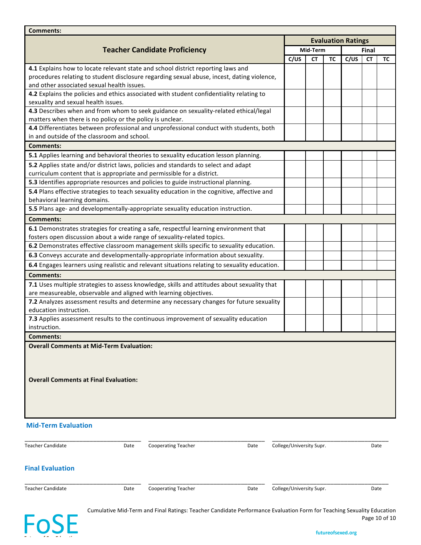| <b>Comments:</b>                                                                              |                                                                                             |                           |           |           |       |           |    |  |  |  |  |
|-----------------------------------------------------------------------------------------------|---------------------------------------------------------------------------------------------|---------------------------|-----------|-----------|-------|-----------|----|--|--|--|--|
|                                                                                               |                                                                                             | <b>Evaluation Ratings</b> |           |           |       |           |    |  |  |  |  |
|                                                                                               | <b>Teacher Candidate Proficiency</b>                                                        |                           | Mid-Term  |           | Final |           |    |  |  |  |  |
|                                                                                               |                                                                                             | C/US                      | <b>CT</b> | <b>TC</b> | C/US  | <b>CT</b> | ТC |  |  |  |  |
| 4.1 Explains how to locate relevant state and school district reporting laws and              |                                                                                             |                           |           |           |       |           |    |  |  |  |  |
|                                                                                               | procedures relating to student disclosure regarding sexual abuse, incest, dating violence,  |                           |           |           |       |           |    |  |  |  |  |
| and other associated sexual health issues.                                                    |                                                                                             |                           |           |           |       |           |    |  |  |  |  |
|                                                                                               | 4.2 Explains the policies and ethics associated with student confidentiality relating to    |                           |           |           |       |           |    |  |  |  |  |
| sexuality and sexual health issues.                                                           |                                                                                             |                           |           |           |       |           |    |  |  |  |  |
| matters when there is no policy or the policy is unclear.                                     | 4.3 Describes when and from whom to seek guidance on sexuality-related ethical/legal        |                           |           |           |       |           |    |  |  |  |  |
|                                                                                               | 4.4 Differentiates between professional and unprofessional conduct with students, both      |                           |           |           |       |           |    |  |  |  |  |
| in and outside of the classroom and school.                                                   |                                                                                             |                           |           |           |       |           |    |  |  |  |  |
| Comments:                                                                                     |                                                                                             |                           |           |           |       |           |    |  |  |  |  |
|                                                                                               | 5.1 Applies learning and behavioral theories to sexuality education lesson planning.        |                           |           |           |       |           |    |  |  |  |  |
| 5.2 Applies state and/or district laws, policies and standards to select and adapt            |                                                                                             |                           |           |           |       |           |    |  |  |  |  |
| curriculum content that is appropriate and permissible for a district.                        |                                                                                             |                           |           |           |       |           |    |  |  |  |  |
| 5.3 Identifies appropriate resources and policies to guide instructional planning.            |                                                                                             |                           |           |           |       |           |    |  |  |  |  |
|                                                                                               | 5.4 Plans effective strategies to teach sexuality education in the cognitive, affective and |                           |           |           |       |           |    |  |  |  |  |
| behavioral learning domains.                                                                  |                                                                                             |                           |           |           |       |           |    |  |  |  |  |
| 5.5 Plans age- and developmentally-appropriate sexuality education instruction.               |                                                                                             |                           |           |           |       |           |    |  |  |  |  |
| <b>Comments:</b>                                                                              |                                                                                             |                           |           |           |       |           |    |  |  |  |  |
| 6.1 Demonstrates strategies for creating a safe, respectful learning environment that         |                                                                                             |                           |           |           |       |           |    |  |  |  |  |
| fosters open discussion about a wide range of sexuality-related topics.                       |                                                                                             |                           |           |           |       |           |    |  |  |  |  |
| 6.2 Demonstrates effective classroom management skills specific to sexuality education.       |                                                                                             |                           |           |           |       |           |    |  |  |  |  |
| 6.3 Conveys accurate and developmentally-appropriate information about sexuality.             |                                                                                             |                           |           |           |       |           |    |  |  |  |  |
| 6.4 Engages learners using realistic and relevant situations relating to sexuality education. |                                                                                             |                           |           |           |       |           |    |  |  |  |  |
| <b>Comments:</b>                                                                              |                                                                                             |                           |           |           |       |           |    |  |  |  |  |
|                                                                                               | 7.1 Uses multiple strategies to assess knowledge, skills and attitudes about sexuality that |                           |           |           |       |           |    |  |  |  |  |
| are measureable, observable and aligned with learning objectives.                             |                                                                                             |                           |           |           |       |           |    |  |  |  |  |
|                                                                                               | 7.2 Analyzes assessment results and determine any necessary changes for future sexuality    |                           |           |           |       |           |    |  |  |  |  |
| education instruction.                                                                        |                                                                                             |                           |           |           |       |           |    |  |  |  |  |
|                                                                                               | 7.3 Applies assessment results to the continuous improvement of sexuality education         |                           |           |           |       |           |    |  |  |  |  |
| instruction.                                                                                  |                                                                                             |                           |           |           |       |           |    |  |  |  |  |
| <b>Comments:</b>                                                                              |                                                                                             |                           |           |           |       |           |    |  |  |  |  |
| <b>Overall Comments at Mid-Term Evaluation:</b>                                               |                                                                                             |                           |           |           |       |           |    |  |  |  |  |
|                                                                                               |                                                                                             |                           |           |           |       |           |    |  |  |  |  |
|                                                                                               |                                                                                             |                           |           |           |       |           |    |  |  |  |  |
| <b>Overall Comments at Final Evaluation:</b>                                                  |                                                                                             |                           |           |           |       |           |    |  |  |  |  |
|                                                                                               |                                                                                             |                           |           |           |       |           |    |  |  |  |  |
|                                                                                               |                                                                                             |                           |           |           |       |           |    |  |  |  |  |
|                                                                                               |                                                                                             |                           |           |           |       |           |    |  |  |  |  |
|                                                                                               |                                                                                             |                           |           |           |       |           |    |  |  |  |  |
| <b>Mid-Term Evaluation</b>                                                                    |                                                                                             |                           |           |           |       |           |    |  |  |  |  |
|                                                                                               |                                                                                             |                           |           |           |       |           |    |  |  |  |  |
|                                                                                               |                                                                                             |                           |           |           |       |           |    |  |  |  |  |
| <b>Teacher Candidate</b><br>Date                                                              | <b>Cooperating Teacher</b><br>Date                                                          | College/University Supr.  |           |           |       | Date      |    |  |  |  |  |
|                                                                                               |                                                                                             |                           |           |           |       |           |    |  |  |  |  |
| <b>Final Evaluation</b>                                                                       |                                                                                             |                           |           |           |       |           |    |  |  |  |  |
|                                                                                               |                                                                                             |                           |           |           |       |           |    |  |  |  |  |
| <b>Teacher Candidate</b><br>Date                                                              | <b>Cooperating Teacher</b><br>Date                                                          | College/University Supr.  |           |           |       | Date      |    |  |  |  |  |
|                                                                                               |                                                                                             |                           |           |           |       |           |    |  |  |  |  |
|                                                                                               |                                                                                             |                           |           |           |       |           |    |  |  |  |  |

FoSE

Cumulative Mid-Term and Final Ratings: Teacher Candidate Performance Evaluation Form for Teaching Sexuality Education Page 10 of 10